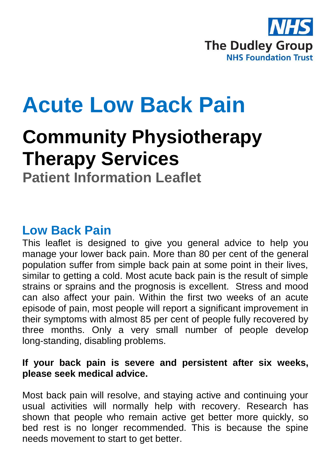

# **Acute Low Back Pain**

## **Community Physiotherapy Therapy Services**

**Patient Information Leaflet**

## **Low Back Pain**

This leaflet is designed to give you general advice to help you manage your lower back pain. More than 80 per cent of the general population suffer from simple back pain at some point in their lives, similar to getting a cold. Most acute back pain is the result of simple strains or sprains and the prognosis is excellent. Stress and mood can also affect your pain. Within the first two weeks of an acute episode of pain, most people will report a significant improvement in their symptoms with almost 85 per cent of people fully recovered by three months. Only a very small number of people develop long-standing, disabling problems.

#### **If your back pain is severe and persistent after six weeks, please seek medical advice.**

Most back pain will resolve, and staying active and continuing your usual activities will normally help with recovery. Research has shown that people who remain active get better more quickly, so bed rest is no longer recommended. This is because the spine needs movement to start to get better.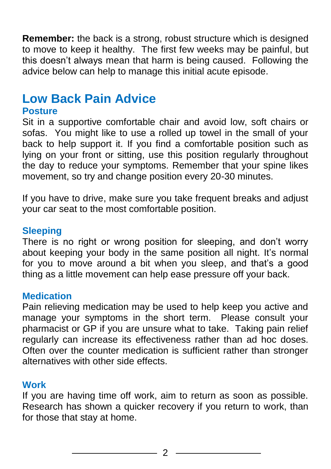**Remember:** the back is a strong, robust structure which is designed to move to keep it healthy. The first few weeks may be painful, but this doesn't always mean that harm is being caused. Following the advice below can help to manage this initial acute episode.

## **Low Back Pain Advice**

#### **Posture**

Sit in a supportive comfortable chair and avoid low, soft chairs or sofas. You might like to use a rolled up towel in the small of your back to help support it. If you find a comfortable position such as lying on your front or sitting, use this position regularly throughout the day to reduce your symptoms. Remember that your spine likes movement, so try and change position every 20-30 minutes.

If you have to drive, make sure you take frequent breaks and adjust your car seat to the most comfortable position.

#### **Sleeping**

There is no right or wrong position for sleeping, and don't worry about keeping your body in the same position all night. It's normal for you to move around a bit when you sleep, and that's a good thing as a little movement can help ease pressure off your back.

#### **Medication**

Pain relieving medication may be used to help keep you active and manage your symptoms in the short term. Please consult your pharmacist or GP if you are unsure what to take. Taking pain relief regularly can increase its effectiveness rather than ad hoc doses. Often over the counter medication is sufficient rather than stronger alternatives with other side effects.

#### **Work**

If you are having time off work, aim to return as soon as possible. Research has shown a quicker recovery if you return to work, than for those that stay at home.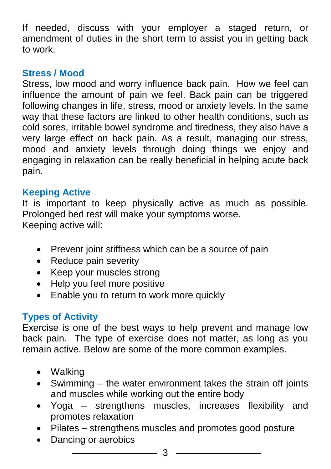If needed, discuss with your employer a staged return, or amendment of duties in the short term to assist you in getting back to work.

#### **Stress / Mood**

Stress, low mood and worry influence back pain. How we feel can influence the amount of pain we feel. Back pain can be triggered following changes in life, stress, mood or anxiety levels. In the same way that these factors are linked to other health conditions, such as cold sores, irritable bowel syndrome and tiredness, they also have a very large effect on back pain. As a result, managing our stress, mood and anxiety levels through doing things we enjoy and engaging in relaxation can be really beneficial in helping acute back pain.

#### **Keeping Active**

It is important to keep physically active as much as possible. Prolonged bed rest will make your symptoms worse. Keeping active will:

- Prevent joint stiffness which can be a source of pain
- Reduce pain severity
- Keep your muscles strong
- Help you feel more positive
- Enable you to return to work more quickly

#### **Types of Activity**

Exercise is one of the best ways to help prevent and manage low back pain. The type of exercise does not matter, as long as you remain active. Below are some of the more common examples.

- Walking
- Swimming the water environment takes the strain off joints and muscles while working out the entire body
- Yoga strengthens muscles, increases flexibility and promotes relaxation
- Pilates strengthens muscles and promotes good posture
- Dancing or aerobics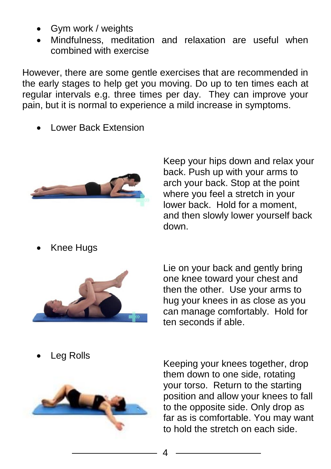- Gym work / weights
- Mindfulness, meditation and relaxation are useful when combined with exercise

However, there are some gentle exercises that are recommended in the early stages to help get you moving. Do up to ten times each at regular intervals e.g. three times per day. They can improve your pain, but it is normal to experience a mild increase in symptoms.

Lower Back Extension



Keep your hips down and relax your back. Push up with your arms to arch your back. Stop at the point where you feel a stretch in your lower back. Hold for a moment, and then slowly lower yourself back down.

Knee Hugs



Lie on your back and gently bring one knee toward your chest and then the other. Use your arms to hug your knees in as close as you can manage comfortably. Hold for ten seconds if able.

Leg Rolls



Keeping your knees together, drop them down to one side, rotating your torso. Return to the starting position and allow your knees to fall to the opposite side. Only drop as far as is comfortable. You may want to hold the stretch on each side.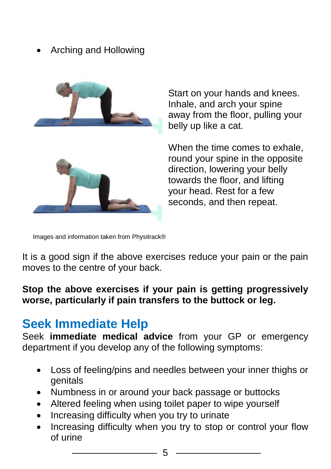#### Arching and Hollowing



Start on your hands and knees. Inhale, and arch your spine away from the floor, pulling your belly up like a cat.

When the time comes to exhale. round your spine in the opposite direction, lowering your belly towards the floor, and lifting your head. Rest for a few seconds, and then repeat.

Images and information taken from Physitrack®

It is a good sign if the above exercises reduce your pain or the pain moves to the centre of your back.

#### **Stop the above exercises if your pain is getting progressively worse, particularly if pain transfers to the buttock or leg.**

### **Seek Immediate Help**

Seek **immediate medical advice** from your GP or emergency department if you develop any of the following symptoms:

- Loss of feeling/pins and needles between your inner thighs or genitals
- Numbness in or around your back passage or buttocks
- Altered feeling when using toilet paper to wipe yourself
- Increasing difficulty when you try to urinate
- Increasing difficulty when you try to stop or control your flow of urine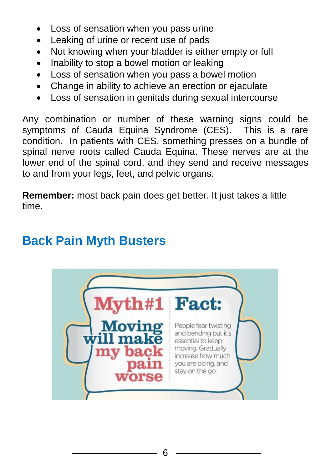- Loss of sensation when you pass urine
- Leaking of urine or recent use of pads
- Not knowing when your bladder is either empty or full
- Inability to stop a bowel motion or leaking
- Loss of sensation when you pass a bowel motion
- Change in ability to achieve an erection or ejaculate
- Loss of sensation in genitals during sexual intercourse

Any combination or number of these warning signs could be symptoms of Cauda Equina Syndrome (CES). This is a rare condition. In patients with CES, something presses on a bundle of spinal nerve roots called Cauda Equina. These nerves are at the lower end of the spinal cord, and they send and receive messages to and from your legs, feet, and pelvic organs.

**Remember:** most back pain does get better. It just takes a little time.

## **Back Pain Myth Busters**

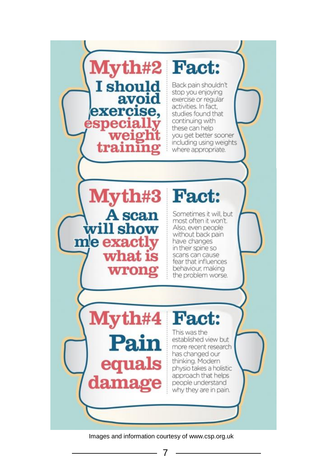

Images and information courtesy of www.csp.org.uk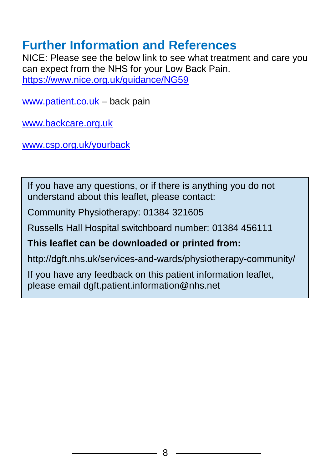## **Further Information and References**

NICE: Please see the below link to see what treatment and care you can expect from the NHS for your Low Back Pain. <https://www.nice.org.uk/guidance/NG59>

[www.patient.co.uk](http://www.patient.co.uk/) – back pain

[www.backcare.org.uk](http://www.backcare.org.uk/) 

[www.csp.org.uk/yourback](http://www.csp.org.uk/yourback)

If you have any questions, or if there is anything you do not understand about this leaflet, please contact:

Community Physiotherapy: 01384 321605

Russells Hall Hospital switchboard number: 01384 456111

#### **This leaflet can be downloaded or printed from:**

http://dgft.nhs.uk/services-and-wards/physiotherapy-community/

If you have any feedback on this patient information leaflet, please email dgft.patient.information@nhs.net